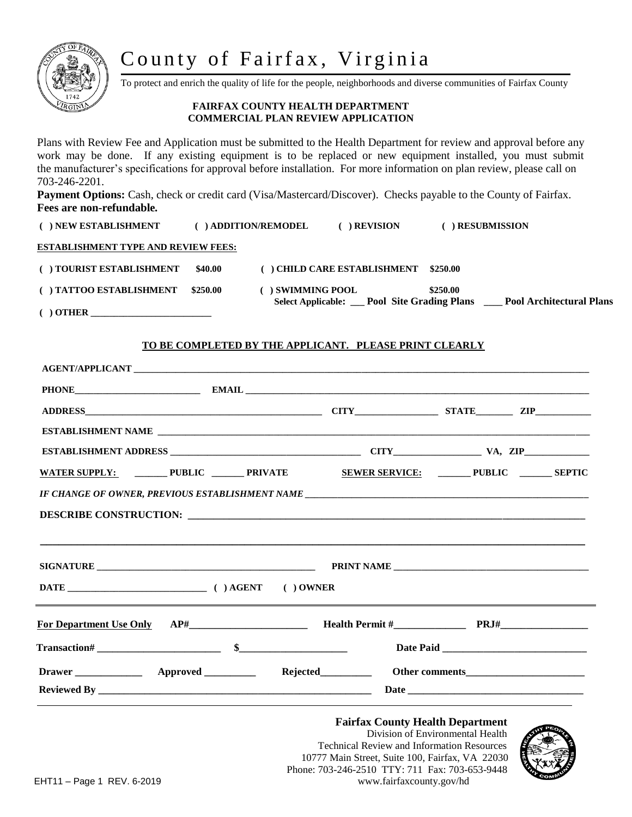# County of Fairfax, Virginia



 $($   $)$  OTHER  $\_\_$ 

To protect and enrich the quality of life for the people, neighborhoods and diverse communities of Fairfax County

#### **FAIRFAX COUNTY HEALTH DEPARTMENT COMMERCIAL PLAN REVIEW APPLICATION**

Plans with Review Fee and Application must be submitted to the Health Department for review and approval before any work may be done. If any existing equipment is to be replaced or new equipment installed, you must submit the manufacturer's specifications for approval before installation. For more information on plan review, please call on 703-246-2201.

Payment Options: Cash, check or credit card (Visa/Mastercard/Discover). Checks payable to the County of Fairfax. **Fees are non-refundable***.*

| ( ) NEW ESTABLISHMENT                      |          | $( )$ ADDITION/REMODEL | ) REVISION                 |                                                           | RESUBMISSION                    |
|--------------------------------------------|----------|------------------------|----------------------------|-----------------------------------------------------------|---------------------------------|
| <b>ESTABLISHMENT TYPE AND REVIEW FEES:</b> |          |                        |                            |                                                           |                                 |
| () TOURIST ESTABLISHMENT                   | \$40.00  |                        | ) CHILD CARE ESTABLISHMENT | \$250.00                                                  |                                 |
| ( ) TATTOO ESTABLISHMENT                   | \$250.00 | ) SWIMMING POOL        |                            | \$250.00<br>Select Applicable: __ Pool Site Grading Plans | <b>Pool Architectural Plans</b> |

#### **TO BE COMPLETED BY THE APPLICANT. PLEASE PRINT CLEARLY**

| WATER SUPPLY: __________PUBLIC ________ PRIVATE SEWER SERVICE: _________PUBLIC ________ SEPTIC                        |  |  |  |  |  |
|-----------------------------------------------------------------------------------------------------------------------|--|--|--|--|--|
|                                                                                                                       |  |  |  |  |  |
| <u> 1989 - Andrea State Barbara, ann an Catharanachd ann an t-Ann an t-Ann an t-Ann an t-Ann an t-Ann an t-Ann an</u> |  |  |  |  |  |
|                                                                                                                       |  |  |  |  |  |
|                                                                                                                       |  |  |  |  |  |
|                                                                                                                       |  |  |  |  |  |
|                                                                                                                       |  |  |  |  |  |

Phone: 703-246-2510 TTY: 711 Fax: 703-653-9448<br>EHT11 – Page 1, PEV, 6-2019

10777 Main Street, Suite 100, Fairfax, VA 22030